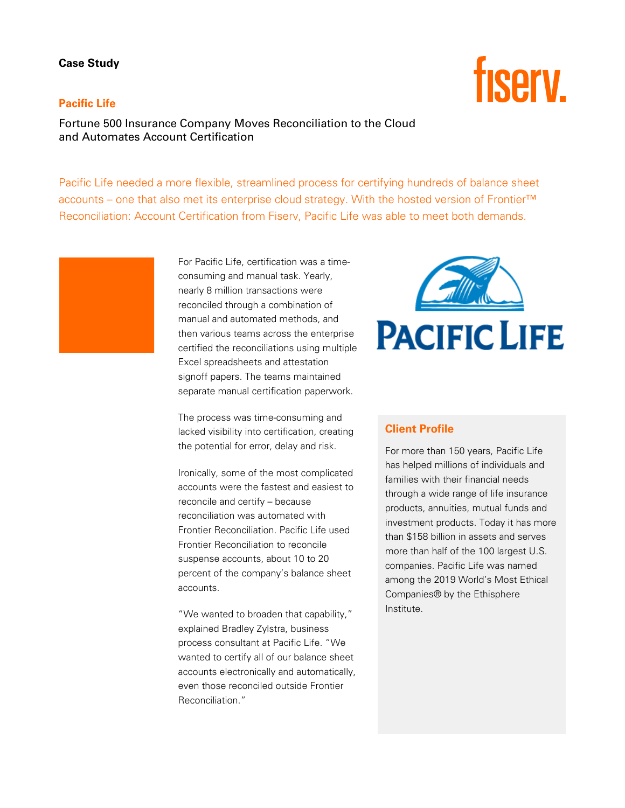## **Case Study**

## **Pacific Life**

Fortune 500 Insurance Company Moves Reconciliation to the Cloud and Automates Account Certification

Pacific Life needed a more flexible, streamlined process for certifying hundreds of balance sheet accounts – one that also met its enterprise cloud strategy. With the hosted version of Frontier™ Reconciliation: Account Certification from Fiserv, Pacific Life was able to meet both demands.

> For Pacific Life, certification was a timeconsuming and manual task. Yearly, nearly 8 million transactions were reconciled through a combination of manual and automated methods, and then various teams across the enterprise certified the reconciliations using multiple Excel spreadsheets and attestation signoff papers. The teams maintained separate manual certification paperwork.

The process was time-consuming and lacked visibility into certification, creating the potential for error, delay and risk.

Ironically, some of the most complicated accounts were the fastest and easiest to reconcile and certify – because reconciliation was automated with Frontier Reconciliation. Pacific Life used Frontier Reconciliation to reconcile suspense accounts, about 10 to 20 percent of the company's balance sheet accounts.

"We wanted to broaden that capability," explained Bradley Zylstra, business process consultant at Pacific Life. "We wanted to certify all of our balance sheet accounts electronically and automatically, even those reconciled outside Frontier Reconciliation."



## **Client Profile**

For more than 150 years, Pacific Life has helped millions of individuals and families with their financial needs through a wide range of life insurance products, annuities, mutual funds and investment products. Today it has more than \$158 billion in assets and serves more than half of the 100 largest U.S. companies. Pacific Life was named among the 2019 World's Most Ethical Companies® by the Ethisphere Institute.

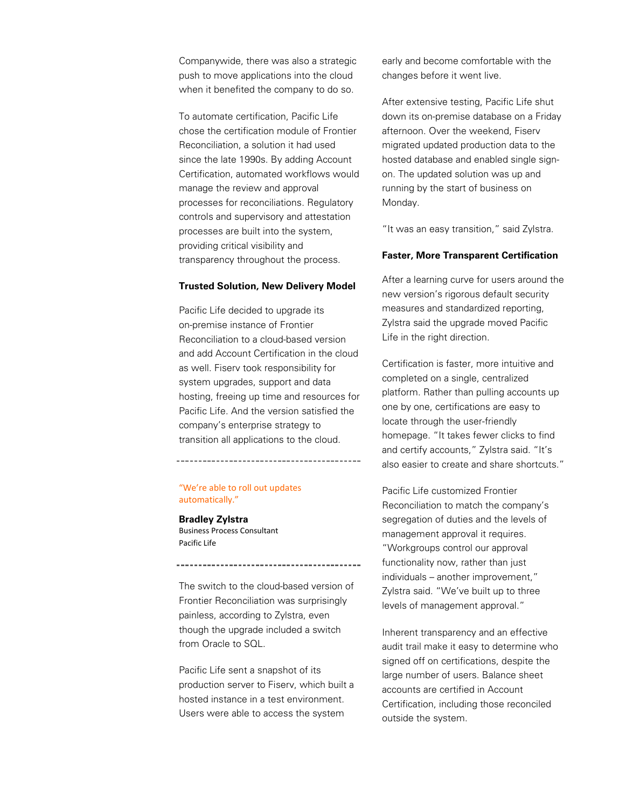Companywide, there was also a strategic push to move applications into the cloud when it benefited the company to do so.

To automate certification, Pacific Life chose the certification module of Frontier Reconciliation, a solution it had used since the late 1990s. By adding Account Certification, automated workflows would manage the review and approval processes for reconciliations. Regulatory controls and supervisory and attestation processes are built into the system, providing critical visibility and transparency throughout the process.

#### **Trusted Solution, New Delivery Model**

Pacific Life decided to upgrade its on-premise instance of Frontier Reconciliation to a cloud-based version and add Account Certification in the cloud as well. Fiserv took responsibility for system upgrades, support and data hosting, freeing up time and resources for Pacific Life. And the version satisfied the company's enterprise strategy to transition all applications to the cloud.

"We're able to roll out updates automatically."

**Bradley Zylstra** Business Process Consultant Pacific Life

The switch to the cloud-based version of Frontier Reconciliation was surprisingly painless, according to Zylstra, even though the upgrade included a switch from Oracle to SQL.

Pacific Life sent a snapshot of its production server to Fiserv, which built a hosted instance in a test environment. Users were able to access the system

early and become comfortable with the changes before it went live.

After extensive testing, Pacific Life shut down its on-premise database on a Friday afternoon. Over the weekend, Fiserv migrated updated production data to the hosted database and enabled single signon. The updated solution was up and running by the start of business on Monday.

"It was an easy transition," said Zylstra.

#### **Faster, More Transparent Certification**

After a learning curve for users around the new version's rigorous default security measures and standardized reporting, Zylstra said the upgrade moved Pacific Life in the right direction.

Certification is faster, more intuitive and completed on a single, centralized platform. Rather than pulling accounts up one by one, certifications are easy to locate through the user-friendly homepage. "It takes fewer clicks to find and certify accounts," Zylstra said. "It's also easier to create and share shortcuts."

Pacific Life customized Frontier Reconciliation to match the company's segregation of duties and the levels of management approval it requires. "Workgroups control our approval functionality now, rather than just individuals – another improvement," Zylstra said. "We've built up to three levels of management approval."

Inherent transparency and an effective audit trail make it easy to determine who signed off on certifications, despite the large number of users. Balance sheet accounts are certified in Account Certification, including those reconciled outside the system.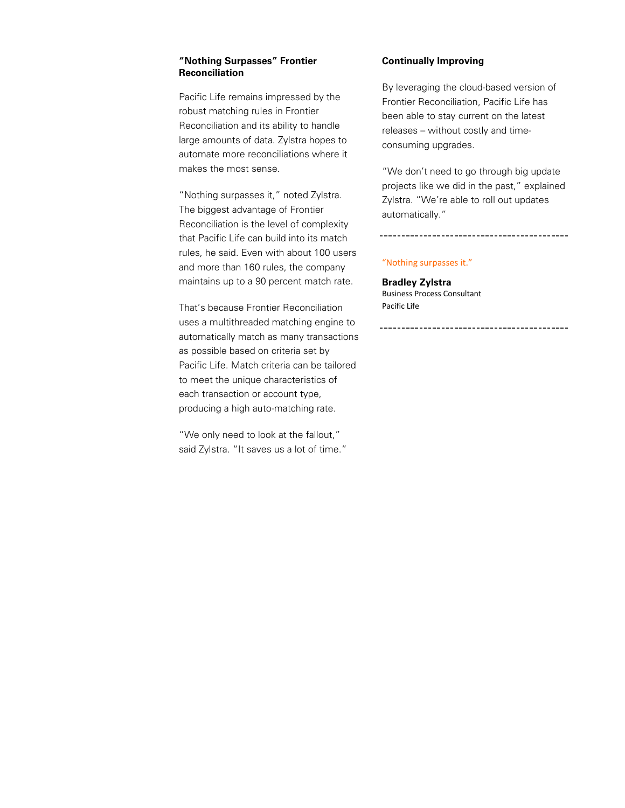#### **"Nothing Surpasses" Frontier Reconciliation**

Pacific Life remains impressed by the robust matching rules in Frontier Reconciliation and its ability to handle large amounts of data. Zylstra hopes to automate more reconciliations where it makes the most sense.

"Nothing surpasses it," noted Zylstra. The biggest advantage of Frontier Reconciliation is the level of complexity that Pacific Life can build into its match rules, he said. Even with about 100 users and more than 160 rules, the company maintains up to a 90 percent match rate.

That's because Frontier Reconciliation uses a multithreaded matching engine to automatically match as many transactions as possible based on criteria set by Pacific Life. Match criteria can be tailored to meet the unique characteristics of each transaction or account type, producing a high auto-matching rate.

"We only need to look at the fallout," said Zylstra. "It saves us a lot of time."

## **Continually Improving**

By leveraging the cloud-based version of Frontier Reconciliation, Pacific Life has been able to stay current on the latest releases – without costly and timeconsuming upgrades.

"We don't need to go through big update projects like we did in the past," explained Zylstra. "We're able to roll out updates automatically."

#### "Nothing surpasses it."

**Bradley Zylstra** Business Process Consultant Pacific Life